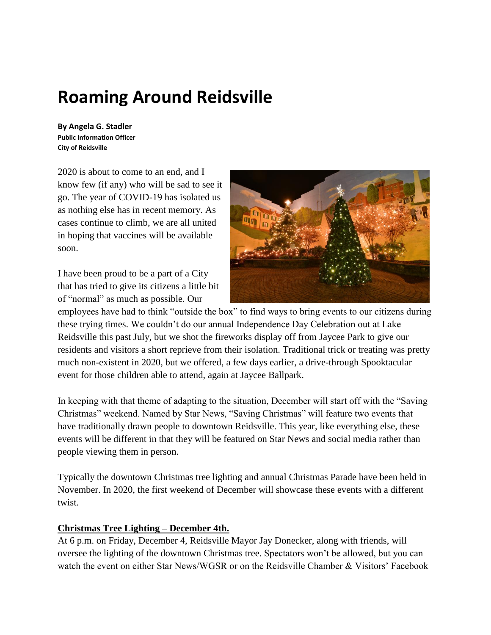# **Roaming Around Reidsville**

**By Angela G. Stadler Public Information Officer City of Reidsville**

2020 is about to come to an end, and I know few (if any) who will be sad to see it go. The year of COVID-19 has isolated us as nothing else has in recent memory. As cases continue to climb, we are all united in hoping that vaccines will be available soon.

I have been proud to be a part of a City that has tried to give its citizens a little bit of "normal" as much as possible. Our



employees have had to think "outside the box" to find ways to bring events to our citizens during these trying times. We couldn't do our annual Independence Day Celebration out at Lake Reidsville this past July, but we shot the fireworks display off from Jaycee Park to give our residents and visitors a short reprieve from their isolation. Traditional trick or treating was pretty much non-existent in 2020, but we offered, a few days earlier, a drive-through Spooktacular event for those children able to attend, again at Jaycee Ballpark.

In keeping with that theme of adapting to the situation, December will start off with the "Saving Christmas" weekend. Named by Star News, "Saving Christmas" will feature two events that have traditionally drawn people to downtown Reidsville. This year, like everything else, these events will be different in that they will be featured on Star News and social media rather than people viewing them in person.

Typically the downtown Christmas tree lighting and annual Christmas Parade have been held in November. In 2020, the first weekend of December will showcase these events with a different twist.

#### **Christmas Tree Lighting – December 4th.**

At 6 p.m. on Friday, December 4, Reidsville Mayor Jay Donecker, along with friends, will oversee the lighting of the downtown Christmas tree. Spectators won't be allowed, but you can watch the event on either Star News/WGSR or on the Reidsville Chamber & Visitors' Facebook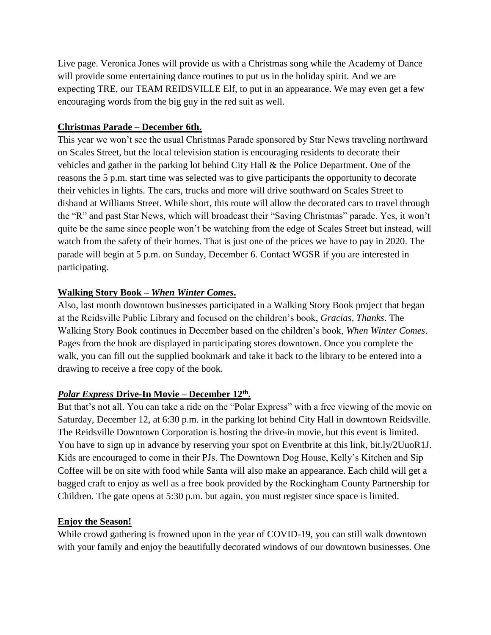Live page. Veronica Jones will provide us with a Christmas song while the Academy of Dance will provide some entertaining dance routines to put us in the holiday spirit. And we are expecting TRE, our TEAM REIDSVILLE Elf, to put in an appearance. We may even get a few encouraging words from the big guy in the red suit as well.

## **Christmas Parade – December 6th.**

This year we won't see the usual Christmas Parade sponsored by Star News traveling northward on Scales Street, but the local television station is encouraging residents to decorate their vehicles and gather in the parking lot behind City Hall & the Police Department. One of the reasons the 5 p.m. start time was selected was to give participants the opportunity to decorate their vehicles in lights. The cars, trucks and more will drive southward on Scales Street to disband at Williams Street. While short, this route will allow the decorated cars to travel through the "R" and past Star News, which will broadcast their "Saving Christmas" parade. Yes, it won't quite be the same since people won't be watching from the edge of Scales Street but instead, will watch from the safety of their homes. That is just one of the prices we have to pay in 2020. The parade will begin at 5 p.m. on Sunday, December 6. Contact WGSR if you are interested in participating.

# **Walking Story Book –** *When Winter Comes***.**

Also, last month downtown businesses participated in a Walking Story Book project that began at the Reidsville Public Library and focused on the children's book, *Gracias, Thanks*. The Walking Story Book continues in December based on the children's book, *When Winter Comes*. Pages from the book are displayed in participating stores downtown. Once you complete the walk, you can fill out the supplied bookmark and take it back to the library to be entered into a drawing to receive a free copy of the book.

# *Polar Express* **Drive-In Movie – December 12th .**

But that's not all. You can take a ride on the "Polar Express" with a free viewing of the movie on Saturday, December 12, at 6:30 p.m. in the parking lot behind City Hall in downtown Reidsville. The Reidsville Downtown Corporation is hosting the drive-in movie, but this event is limited. You have to sign up in advance by reserving your spot on Eventbrite at this link, bit.ly/2UuoR1J. Kids are encouraged to come in their PJs. The Downtown Dog House, Kelly's Kitchen and Sip Coffee will be on site with food while Santa will also make an appearance. Each child will get a bagged craft to enjoy as well as a free book provided by the Rockingham County Partnership for Children. The gate opens at 5:30 p.m. but again, you must register since space is limited.

#### **Enjoy the Season!**

While crowd gathering is frowned upon in the year of COVID-19, you can still walk downtown with your family and enjoy the beautifully decorated windows of our downtown businesses. One